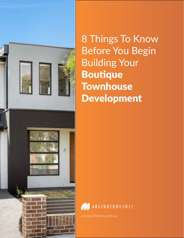

8 Things To Know Before You Begin Building Your Boutique **Townhouse** Development

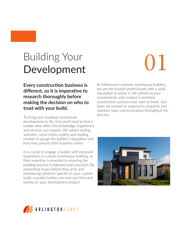## Building Your Development

# 01

**Every construction business is different, so it is imperative to research thoroughly before making the decision on who to trust with your build.**

To bring your boutique townhouse development to life, first you'll need to find a builder who offers the knowledge, experience and services you require. We advise visiting websites, social media outlets and reading reviews to gauge the builder's reputation and how they present their business online.

It is crucial to engage a builder with exclusive experience in custom townhouse building, as their expertise is essential to ensuring the building process is followed with precision. By preventing issues before they arise and introducing solutions specific to your custom build, a quality builder can save you time and money on your development project.

As Melbourne's premier townhouse builders, we are the trusted professionals with a solid reputation to prove it. We adhere to your requirements and conduct a seamless construction process from start to finish. Our team are prompt to respond to enquiries and maintain open communication throughout the process.



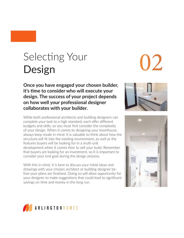# Selecting Your Design

**Once you have engaged your chosen builder, it's time to consider who will execute your design. The success of your project depends on how well your professional designer collaborates with your builder.** 

While both professional architects and building designers can complete your task to a high standard, each offer different budgets and skills, so you must first consider the complexity of your design. When it comes to designing your townhouse, always keep resale in mind. It is valuable to think about how the structure will fit into the existing environment, as well as the features buyers will be looking for in a multi-unit development when it comes time to sell your build. Remember that buyers are looking for an investment, so it is important to consider your end goal during the design process.

With this in mind, it is best to discuss your initial ideas and drawings with your chosen architect or building designer before your plans are finalised. Doing so will allow opportunity for your designer to make suggestions that could lead to significant savings on time and money in the long run.







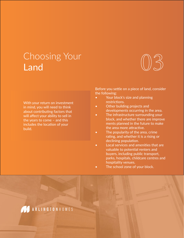## Choosing Your Land

With your return on investment in mind, you will need to think about contributing factors that will affect your ability to sell in the years to come – and this includes the location of your build.



Before you settle on a piece of land, consider the following:

- Your block's size and planning restrictions.
- Other building projects and developments occurring in the area.
- The infrastructure surrounding your block, and whether there are improve ments planned in the future to make the area more attractive.
- The popularity of the area, crime rating, and whether it is a rising or declining population.
- Local services and amenities that are valuable to potential renters and buyers, including public transport, parks, hospitals, childcare centres and hospitality venues.
- The school zone of your block.

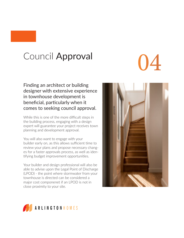## Council Approval

Finding an architect or building designer with extensive experience in townhouse development is beneficial, particularly when it comes to seeking council approval.

While this is one of the more difficult steps in the building process, engaging with a design expert will guarantee your project receives town planning and development approval.

You will also want to engage with your builder early on, as this allows sufficient time to review your plans and propose necessary changes for a faster approvals process, as well as identifying budget improvement opportunities.

Your builder and design professional will also be able to advise upon the Legal Point of Discharge (LPOD) - the point where stormwater from your townhouse is directed can be considered a major cost componenet if an LPOD is not in close proximity to your site.



04

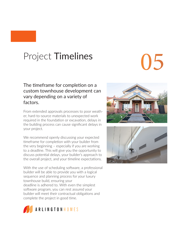## Project Timelines

#### The timeframe for completion on a custom townhouse development can vary depending on a variety of factors.

From extended approvals processes to poor weather, hard-to-source materials to unexpected work required in the foundation or excavation, delays in the building process can cause significant delays in your project.

We recommend openly discussing your expected timeframe for completion with your builder from the very beginning – especially if you are working to a deadline. This will give you the opportunity to discuss potential delays, your builder's approach to the overall project, and your timeline expectations.

With the use of scheduling software, a professional builder will be able to provide you with a logical sequence and planning process for your luxury townhouse build, ensuring your deadline is adhered to. With even the simplest software program, you can rest assured your builder will meet their contractual obligations and complete the project in good time.





5

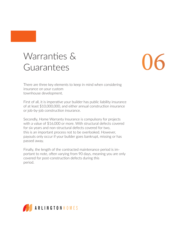## Warranties & Guarantees

# 06

There are three key elements to keep in mind when considering insurance on your custom townhouse development.

First of all, it is imperative your builder has public liability insurance of at least \$10,000,000, and either annual construction insurance or job-by-job construction insurance.

Secondly, Home Warranty Insurance is compulsory for projects with a value of \$16,000 or more. With structural defects covered for six years and non-structural defects covered for two, this is an important process not to be overlooked. However, payouts only occur if your builder goes bankrupt, missing or has passed away.

Finally, the length of the contracted maintenance period is important to note, often varying from 90 days, meaning you are only covered for post-construction defects during this period.

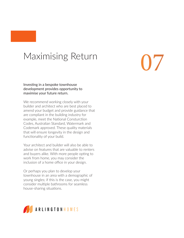### Maximising Return

07

Investing in a bespoke townhouse development provides opportunity to maximise your future return.

We recommend working closely with your builder and architect who are best placed to amend your budget and provide guidance that are compliant in the building industry for example, meet the National Consturction Codes, Australian Standard, Watermark and Codemark approved. These quality materials that will ensure longevity in the design and functionality of your build.

Your architect and builder will also be able to advise on features that are valuable to renters and buyers alike. With more people opting to work from home, you may consider the inclusion of a home office in your design.

Or perhaps you plan to develop your townhouse in an area with a demographic of young singles; if this is the case, you might consider multiple bathrooms for seamless house-sharing situations.

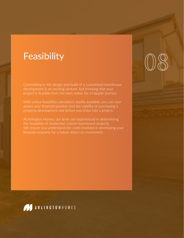### Feasibility

Committing to the design and build of a customised townhouse development is an exciting venture, but knowing that your project is feasible from the start makes for a happier journey.

With online feasibility calculators readily available, you can now assess your financial position and the viability of purchasing a

At Arlington Homes, our team are experienced in determining We ensure you understand the costs involved in developing your